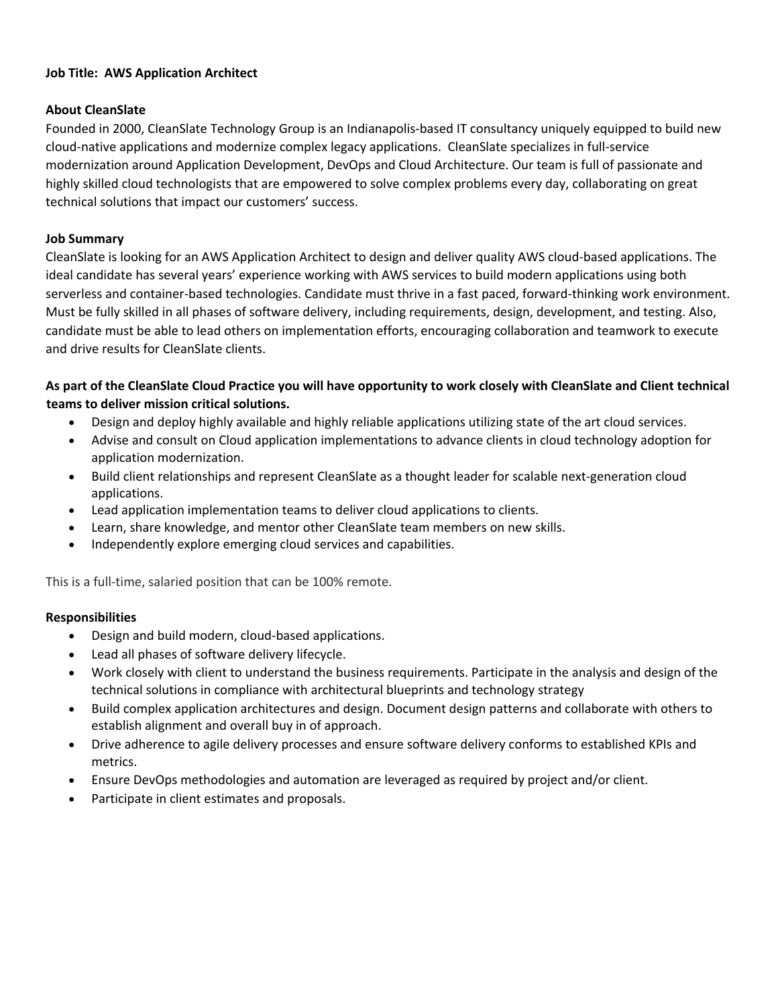#### **Job Title: AWS Application Architect**

#### **About CleanSlate**

Founded in 2000, CleanSlate Technology Group is an Indianapolis-based IT consultancy uniquely equipped to build new cloud-native applications and modernize complex legacy applications. CleanSlate specializes in full-service modernization around Application Development, DevOps and Cloud Architecture. Our team is full of passionate and highly skilled cloud technologists that are empowered to solve complex problems every day, collaborating on great technical solutions that impact our customers' success.

#### **Job Summary**

CleanSlate is looking for an AWS Application Architect to design and deliver quality AWS cloud-based applications. The ideal candidate has several years' experience working with AWS services to build modern applications using both serverless and container-based technologies. Candidate must thrive in a fast paced, forward-thinking work environment. Must be fully skilled in all phases of software delivery, including requirements, design, development, and testing. Also, candidate must be able to lead others on implementation efforts, encouraging collaboration and teamwork to execute and drive results for CleanSlate clients.

## As part of the CleanSlate Cloud Practice you will have opportunity to work closely with CleanSlate and Client technical **teams to deliver mission critical solutions.**

- Design and deploy highly available and highly reliable applications utilizing state of the art cloud services.
- Advise and consult on Cloud application implementations to advance clients in cloud technology adoption for application modernization.
- Build client relationships and represent CleanSlate as a thought leader for scalable next-generation cloud applications.
- Lead application implementation teams to deliver cloud applications to clients.
- Learn, share knowledge, and mentor other CleanSlate team members on new skills.
- Independently explore emerging cloud services and capabilities.

This is a full-time, salaried position that can be 100% remote.

#### **Responsibilities**

- Design and build modern, cloud-based applications.
- Lead all phases of software delivery lifecycle.
- Work closely with client to understand the business requirements. Participate in the analysis and design of the technical solutions in compliance with architectural blueprints and technology strategy
- Build complex application architectures and design. Document design patterns and collaborate with others to establish alignment and overall buy in of approach.
- Drive adherence to agile delivery processes and ensure software delivery conforms to established KPIs and metrics.
- Ensure DevOps methodologies and automation are leveraged as required by project and/or client.
- Participate in client estimates and proposals.